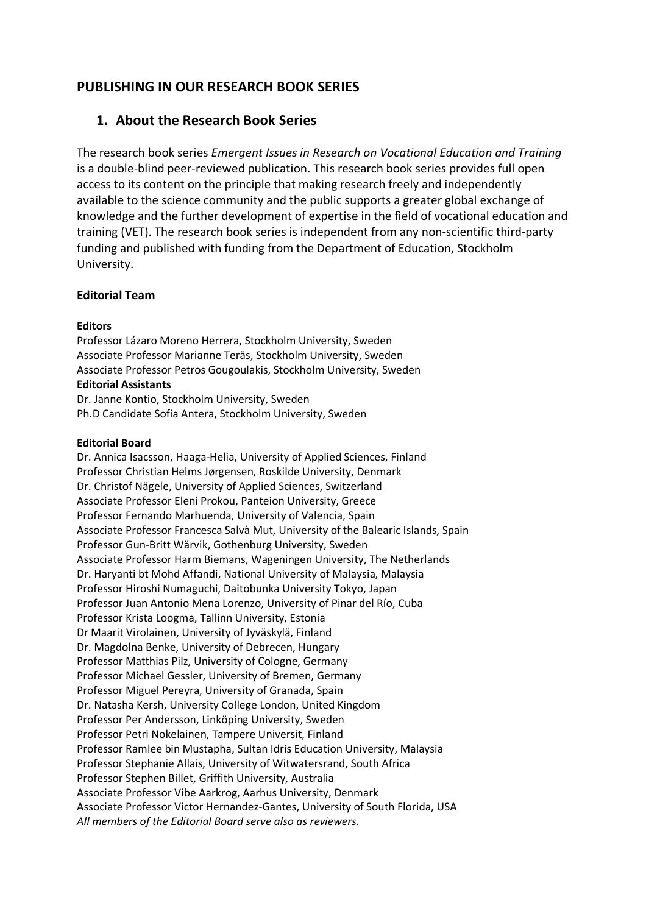# **PUBLISHING IN OUR RESEARCH BOOK SERIES**

## **1. About the Research Book Series**

The research book series *Emergent Issues in Research on Vocational Education and Training* is a double-blind peer-reviewed publication. This research book series provides full open access to its content on the principle that making research freely and independently available to the science community and the public supports a greater global exchange of knowledge and the further development of expertise in the field of vocational education and training (VET). The research book series is independent from any non-scientific third-party funding and published with funding from the Department of Education, Stockholm University.

#### **Editorial Team**

#### **Editors**

Professor Lázaro Moreno Herrera, Stockholm University, Sweden Associate Professor Marianne Teräs, Stockholm University, Sweden Associate Professor Petros Gougoulakis, Stockholm University, Sweden **Editorial Assistants**

Dr. Janne Kontio, Stockholm University, Sweden Ph.D Candidate Sofia Antera, Stockholm University, Sweden

#### **Editorial Board**

Dr. Annica Isacsson, Haaga-Helia, University of Applied Sciences, Finland Professor Christian Helms Jørgensen, Roskilde University, Denmark Dr. Christof Nägele, University of Applied Sciences, Switzerland Associate Professor Eleni Prokou, Panteion University, Greece Professor Fernando Marhuenda, University of Valencia, Spain Associate Professor Francesca Salvà Mut, University of the Balearic Islands, Spain Professor Gun-Britt Wärvik, Gothenburg University, Sweden Associate Professor Harm Biemans, Wageningen University, The Netherlands Dr. Haryanti bt Mohd Affandi, National University of Malaysia, Malaysia Professor Hiroshi Numaguchi, Daitobunka University Tokyo, Japan Professor Juan Antonio Mena Lorenzo, University of Pinar del Río, Cuba Professor Krista Loogma, Tallinn University, Estonia Dr Maarit Virolainen, University of Jyväskylä, Finland Dr. Magdolna Benke, University of Debrecen, Hungary Professor Matthias Pilz, University of Cologne, Germany Professor Michael Gessler, University of Bremen, Germany Professor Miguel Pereyra, University of Granada, Spain Dr. Natasha Kersh, University College London, United Kingdom Professor Per Andersson, Linköping University, Sweden Professor Petri Nokelainen, Tampere Universit, Finland Professor Ramlee bin Mustapha, Sultan Idris Education University, Malaysia Professor Stephanie Allais, University of Witwatersrand, South Africa Professor Stephen Billet, Griffith University, Australia Associate Professor Vibe Aarkrog, Aarhus University, Denmark Associate Professor Victor Hernandez-Gantes, University of South Florida, USA *All members of the Editorial Board serve also as reviewers.*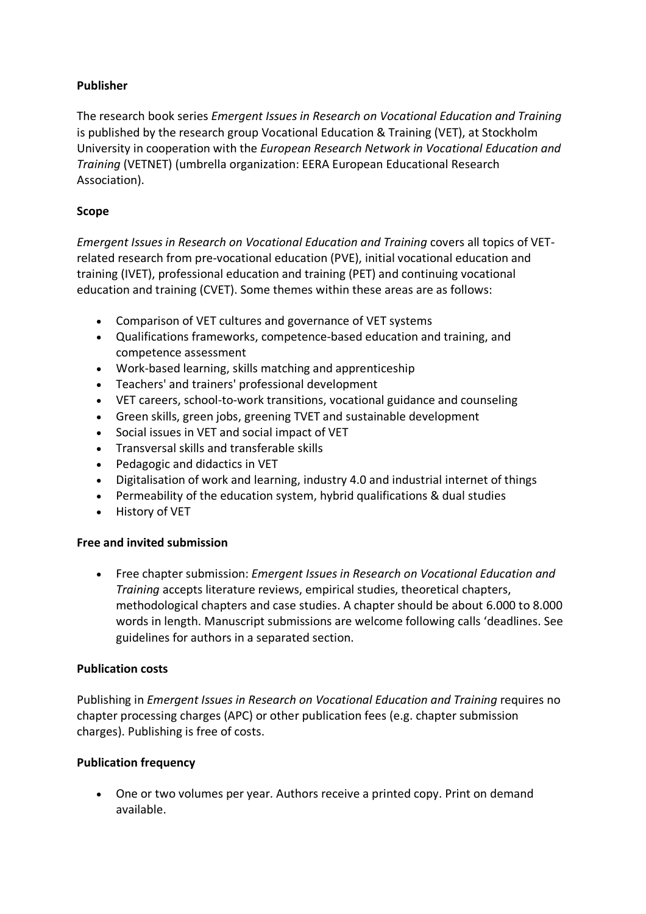## **Publisher**

The research book series *Emergent Issues in Research on Vocational Education and Training* is published by the research group Vocational Education & Training (VET), at Stockholm University in cooperation with the *European Research Network in Vocational Education and Training* (VETNET) (umbrella organization: EERA European Educational Research Association).

## **Scope**

*Emergent Issues in Research on Vocational Education and Training* covers all topics of VETrelated research from pre-vocational education (PVE), initial vocational education and training (IVET), professional education and training (PET) and continuing vocational education and training (CVET). Some themes within these areas are as follows:

- Comparison of VET cultures and governance of VET systems
- Qualifications frameworks, competence-based education and training, and competence assessment
- Work-based learning, skills matching and apprenticeship
- Teachers' and trainers' professional development
- VET careers, school-to-work transitions, vocational guidance and counseling
- Green skills, green jobs, greening TVET and sustainable development
- Social issues in VET and social impact of VET
- Transversal skills and transferable skills
- Pedagogic and didactics in VET
- Digitalisation of work and learning, industry 4.0 and industrial internet of things
- Permeability of the education system, hybrid qualifications & dual studies
- History of VET

## **Free and invited submission**

• Free chapter submission: *Emergent Issues in Research on Vocational Education and Training* accepts literature reviews, empirical studies, theoretical chapters, methodological chapters and case studies. A chapter should be about 6.000 to 8.000 words in length. Manuscript submissions are welcome following calls 'deadlines. See guidelines for authors in a separated section.

## **Publication costs**

Publishing in *Emergent Issues in Research on Vocational Education and Training* requires no chapter processing charges (APC) or other publication fees (e.g. chapter submission charges). Publishing is free of costs.

## **Publication frequency**

• One or two volumes per year. Authors receive a printed copy. Print on demand available.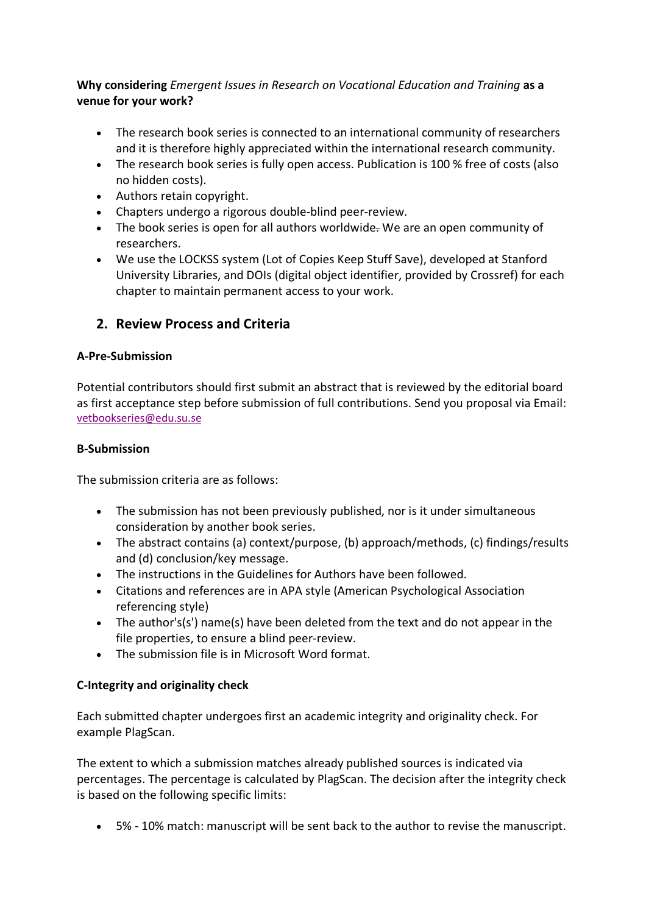## **Why considering** *Emergent Issues in Research on Vocational Education and Training* **as a venue for your work?**

- The research book series is connected to an international community of researchers and it is therefore highly appreciated within the international research community.
- The research book series is fully open access. Publication is 100 % free of costs (also no hidden costs).
- Authors retain copyright.
- Chapters undergo a rigorous double-blind peer-review.
- The book series is open for all authors worldwide. We are an open community of researchers.
- We use the LOCKSS system (Lot of Copies Keep Stuff Save), developed at Stanford University Libraries, and DOIs (digital object identifier, provided by Crossref) for each chapter to maintain permanent access to your work.

# **2. Review Process and Criteria**

## **A-Pre-Submission**

Potential contributors should first submit an abstract that is reviewed by the editorial board as first acceptance step before submission of full contributions. Send you proposal via Email: vetbookseries@edu.su.se

## **B-Submission**

The submission criteria are as follows:

- The submission has not been previously published, nor is it under simultaneous consideration by another book series.
- The abstract contains (a) context/purpose, (b) approach/methods, (c) findings/results and (d) conclusion/key message.
- The instructions in the Guidelines for Authors have been followed.
- Citations and references are in APA style (American Psychological Association referencing style)
- The author's(s') name(s) have been deleted from the text and do not appear in the file properties, to ensure a blind peer-review.
- The submission file is in Microsoft Word format.

# **C-Integrity and originality check**

Each submitted chapter undergoes first an academic integrity and originality check. For example PlagScan.

The extent to which a submission matches already published sources is indicated via percentages. The percentage is calculated by PlagScan. The decision after the integrity check is based on the following specific limits:

• 5% - 10% match: manuscript will be sent back to the author to revise the manuscript.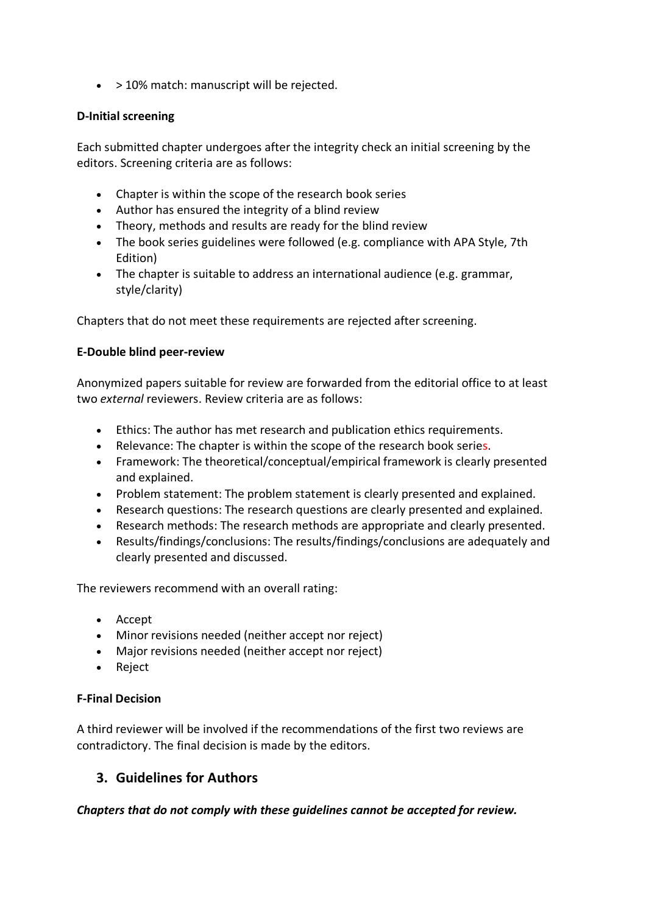• > 10% match: manuscript will be rejected.

#### **D-Initial screening**

Each submitted chapter undergoes after the integrity check an initial screening by the editors. Screening criteria are as follows:

- Chapter is within the scope of the research book series
- Author has ensured the integrity of a blind review
- Theory, methods and results are ready for the blind review
- The book series guidelines were followed (e.g. compliance with APA Style, 7th Edition)
- The chapter is suitable to address an international audience (e.g. grammar, style/clarity)

Chapters that do not meet these requirements are rejected after screening.

#### **E-Double blind peer-review**

Anonymized papers suitable for review are forwarded from the editorial office to at least two *external* reviewers. Review criteria are as follows:

- Ethics: The author has met research and publication ethics requirements.
- Relevance: The chapter is within the scope of the research book series.
- Framework: The theoretical/conceptual/empirical framework is clearly presented and explained.
- Problem statement: The problem statement is clearly presented and explained.
- Research questions: The research questions are clearly presented and explained.
- Research methods: The research methods are appropriate and clearly presented.
- Results/findings/conclusions: The results/findings/conclusions are adequately and clearly presented and discussed.

The reviewers recommend with an overall rating:

- Accept
- Minor revisions needed (neither accept nor reject)
- Major revisions needed (neither accept nor reject)
- Reject

## **F-Final Decision**

A third reviewer will be involved if the recommendations of the first two reviews are contradictory. The final decision is made by the editors.

# **3. Guidelines for Authors**

*Chapters that do not comply with these guidelines cannot be accepted for review.*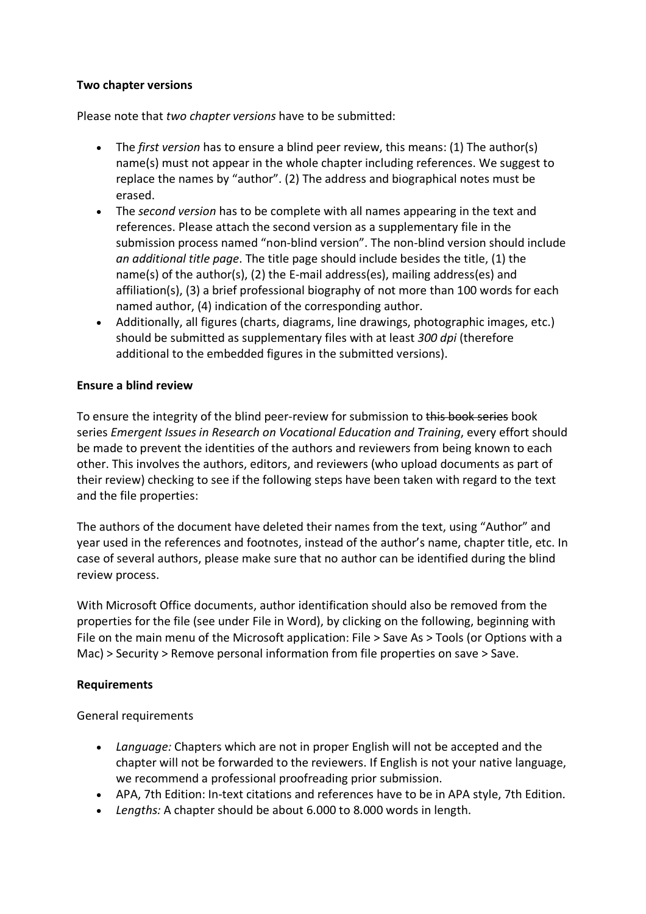#### **Two chapter versions**

Please note that *two chapter versions* have to be submitted:

- The *first version* has to ensure a blind peer review, this means: (1) The author(s) name(s) must not appear in the whole chapter including references. We suggest to replace the names by "author". (2) The address and biographical notes must be erased.
- The *second version* has to be complete with all names appearing in the text and references. Please attach the second version as a supplementary file in the submission process named "non-blind version". The non-blind version should include *an additional title page*. The title page should include besides the title, (1) the name(s) of the author(s), (2) the E-mail address(es), mailing address(es) and affiliation(s), (3) a brief professional biography of not more than 100 words for each named author, (4) indication of the corresponding author.
- Additionally, all figures (charts, diagrams, line drawings, photographic images, etc.) should be submitted as supplementary files with at least *300 dpi* (therefore additional to the embedded figures in the submitted versions).

#### **Ensure a blind review**

To ensure the integrity of the blind peer-review for submission to this book series book series *Emergent Issues in Research on Vocational Education and Training*, every effort should be made to prevent the identities of the authors and reviewers from being known to each other. This involves the authors, editors, and reviewers (who upload documents as part of their review) checking to see if the following steps have been taken with regard to the text and the file properties:

The authors of the document have deleted their names from the text, using "Author" and year used in the references and footnotes, instead of the author's name, chapter title, etc. In case of several authors, please make sure that no author can be identified during the blind review process.

With Microsoft Office documents, author identification should also be removed from the properties for the file (see under File in Word), by clicking on the following, beginning with File on the main menu of the Microsoft application: File > Save As > Tools (or Options with a Mac) > Security > Remove personal information from file properties on save > Save.

## **Requirements**

General requirements

- *Language:* Chapters which are not in proper English will not be accepted and the chapter will not be forwarded to the reviewers. If English is not your native language, we recommend a professional proofreading prior submission.
- APA, 7th Edition: In-text citations and references have to be in APA style, 7th Edition.
- *Lengths:* A chapter should be about 6.000 to 8.000 words in length.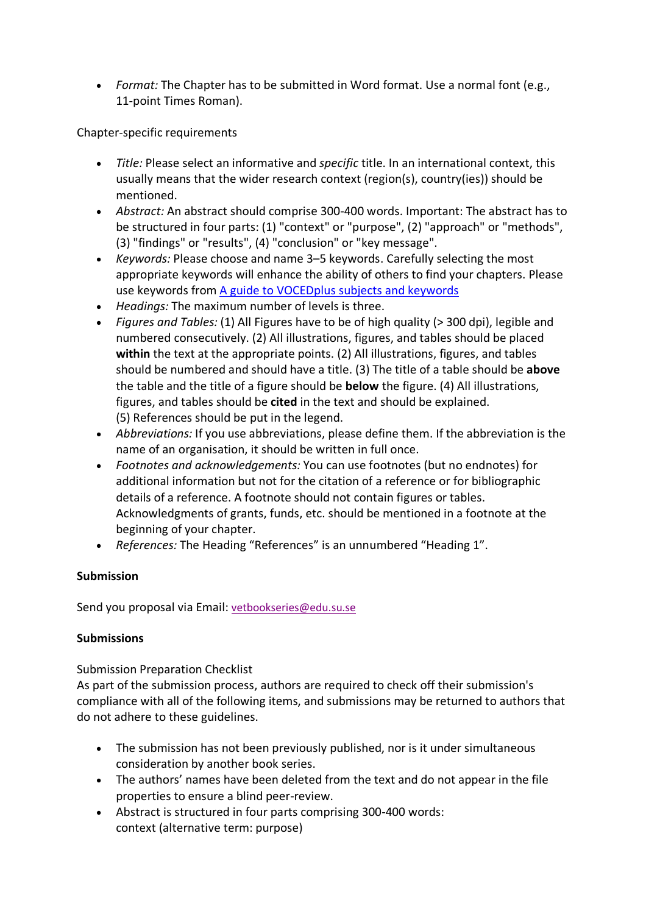• *Format:* The Chapter has to be submitted in Word format. Use a normal font (e.g., 11-point Times Roman).

Chapter-specific requirements

- *Title:* Please select an informative and *specific* title. In an international context, this usually means that the wider research context (region(s), country(ies)) should be mentioned.
- *Abstract:* An abstract should comprise 300-400 words. Important: The abstract has to be structured in four parts: (1) "context" or "purpose", (2) "approach" or "methods", (3) "findings" or "results", (4) "conclusion" or "key message".
- *Keywords:* Please choose and name 3–5 keywords. Carefully selecting the most appropriate keywords will enhance the ability of others to find your chapters. Please use keywords from A guide to VOCEDplus subjects and keywords
- *Headings:* The maximum number of levels is three.
- *Figures and Tables:* (1) All Figures have to be of high quality (> 300 dpi), legible and numbered consecutively. (2) All illustrations, figures, and tables should be placed within the text at the appropriate points. (2) All illustrations, figures, and tables should be numbered and should have a title. (3) The title of a table should be **above** the table and the title of a figure should be **below** the figure. (4) All illustrations, figures, and tables should be **cited** in the text and should be explained. (5) References should be put in the legend.
- *Abbreviations:* If you use abbreviations, please define them. If the abbreviation is the name of an organisation, it should be written in full once.
- *Footnotes and acknowledgements:* You can use footnotes (but no endnotes) for additional information but not for the citation of a reference or for bibliographic details of a reference. A footnote should not contain figures or tables. Acknowledgments of grants, funds, etc. should be mentioned in a footnote at the beginning of your chapter.
- *References:* The Heading "References" is an unnumbered "Heading 1".

## **Submission**

Send you proposal via Email: vetbookseries@edu.su.se

## **Submissions**

Submission Preparation Checklist

As part of the submission process, authors are required to check off their submission's compliance with all of the following items, and submissions may be returned to authors that do not adhere to these guidelines.

- The submission has not been previously published, nor is it under simultaneous consideration by another book series.
- The authors' names have been deleted from the text and do not appear in the file properties to ensure a blind peer-review.
- Abstract is structured in four parts comprising 300-400 words: context (alternative term: purpose)